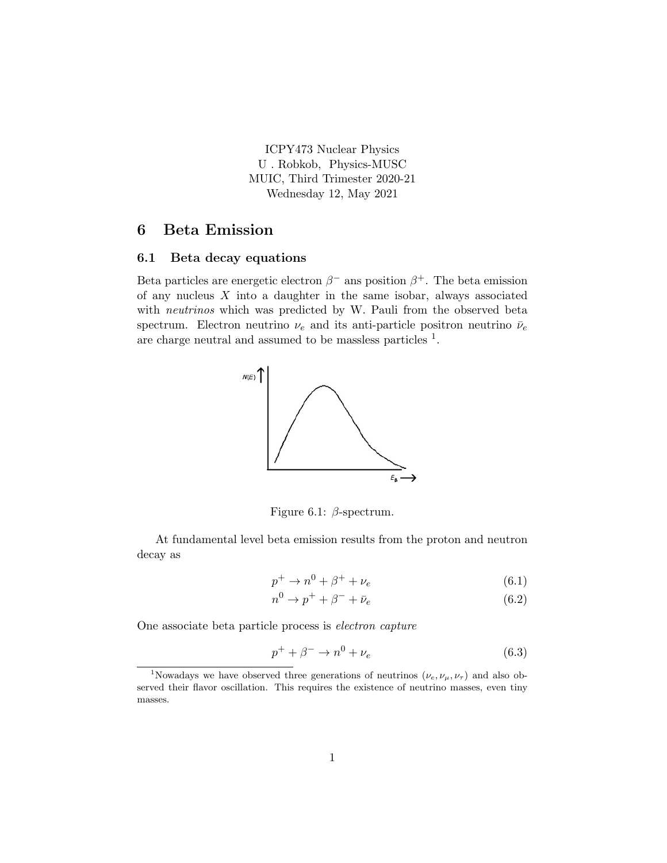ICPY473 Nuclear Physics U . Robkob, Physics-MUSC MUIC, Third Trimester 2020-21 Wednesday 12, May 2021

# 6 Beta Emission

#### 6.1 Beta decay equations

Beta particles are energetic electron  $\beta^-$  ans position  $\beta^+$ . The beta emission of any nucleus  $X$  into a daughter in the same isobar, always associated with *neutrinos* which was predicted by W. Pauli from the observed beta spectrum. Electron neutrino  $\nu_e$  and its anti-particle positron neutrino  $\bar{\nu}_e$ are charge neutral and assumed to be massless particles  $<sup>1</sup>$ .</sup>



Figure 6.1:  $\beta$ -spectrum.

At fundamental level beta emission results from the proton and neutron decay as

$$
p^+ \to n^0 + \beta^+ + \nu_e \tag{6.1}
$$

$$
n^0 \to p^+ + \beta^- + \bar{\nu}_e \tag{6.2}
$$

One associate beta particle process is electron capture

$$
p^{+} + \beta^{-} \rightarrow n^{0} + \nu_{e} \tag{6.3}
$$

<sup>&</sup>lt;sup>1</sup>Nowadays we have observed three generations of neutrinos  $(\nu_e, \nu_\mu, \nu_\tau)$  and also observed their flavor oscillation. This requires the existence of neutrino masses, even tiny masses.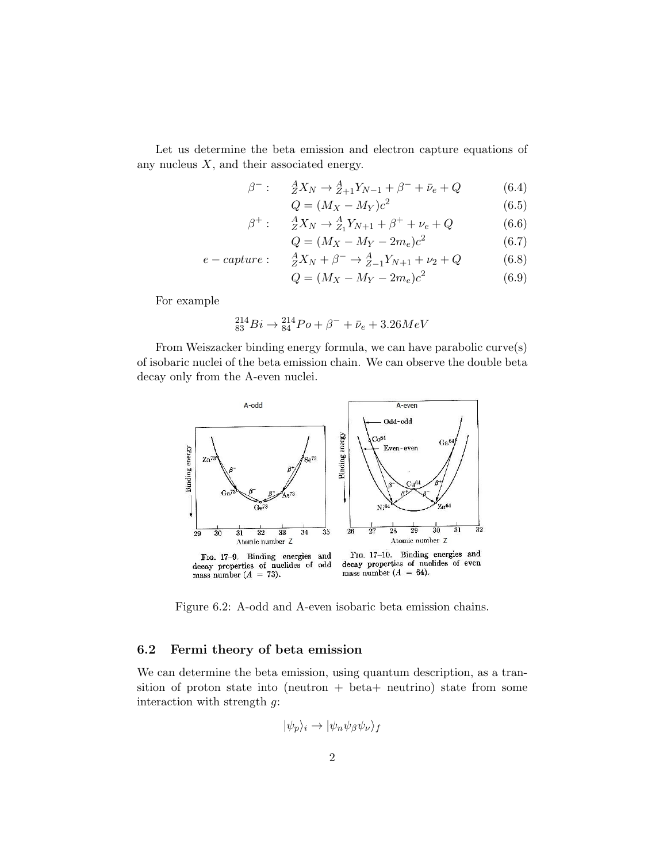Let us determine the beta emission and electron capture equations of any nucleus  $X$ , and their associated energy.

$$
\beta^-: \quad \ \ ^A_Z X_N \to \,^A_{Z+1} Y_{N-1} + \beta^- + \bar{\nu}_e + Q \tag{6.4}
$$

$$
Q = (M_X - M_Y)c^2
$$
\n
$$
(6.5)
$$

$$
\beta^{+}: \quad \ \ \frac{A}{Z}X_{N} \to \frac{A}{Z_{1}}Y_{N+1} + \beta^{+} + \nu_{e} + Q \tag{6.6}
$$

$$
Q = (M_X - M_Y - 2m_e)c^2
$$
 (6.7)

$$
e - capture: \quad \, _{Z}^{A}X_{N} + \beta^{-} \rightarrow \, _{Z-1}^{A}Y_{N+1} + \nu_{2} + Q \tag{6.8}
$$

$$
Q = (M_X - M_Y - 2m_e)c^2
$$
 (6.9)

For example

$$
^{214}_{83}Bi \rightarrow ^{214}_{84}Po + \beta^- + \bar{\nu}_e + 3.26MeV
$$

From Weiszacker binding energy formula, we can have parabolic curve(s) of isobaric nuclei of the beta emission chain. We can observe the double beta decay only from the A-even nuclei.



Figure 6.2: A-odd and A-even isobaric beta emission chains.

### 6.2 Fermi theory of beta emission

We can determine the beta emission, using quantum description, as a transition of proton state into (neutron + beta+ neutrino) state from some interaction with strength g:

$$
|\psi_p\rangle_i \to |\psi_n \psi_\beta \psi_\nu\rangle_f
$$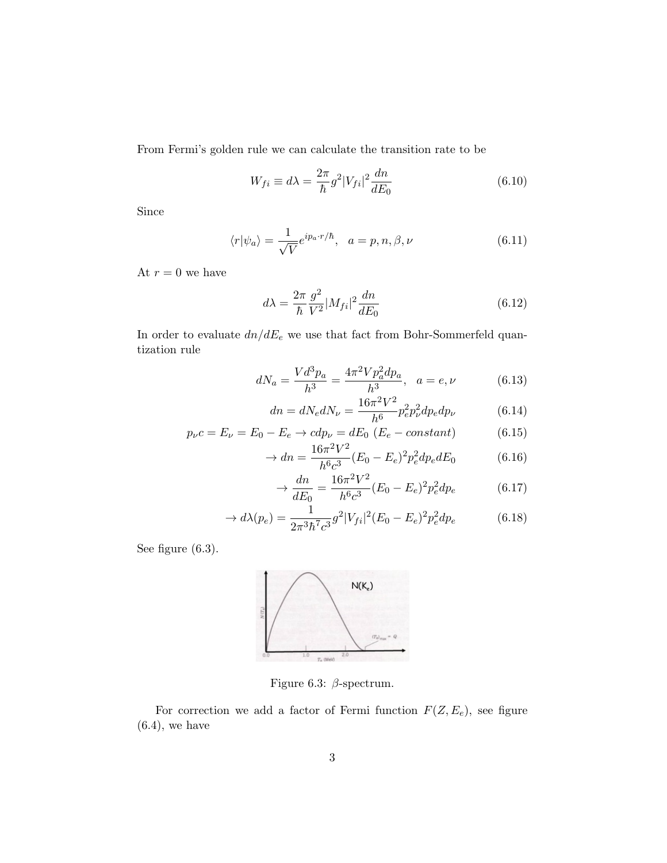From Fermi's golden rule we can calculate the transition rate to be

$$
W_{fi} \equiv d\lambda = \frac{2\pi}{\hbar} g^2 |V_{fi}|^2 \frac{dn}{dE_0}
$$
\n(6.10)

Since

$$
\langle r|\psi_a\rangle = \frac{1}{\sqrt{V}} e^{ip_a \cdot r/\hbar}, \quad a = p, n, \beta, \nu \tag{6.11}
$$

At  $r = 0$  we have

$$
d\lambda = \frac{2\pi}{\hbar} \frac{g^2}{V^2} |M_{fi}|^2 \frac{dn}{dE_0}
$$
 (6.12)

In order to evaluate  $dn/dE_e$  we use that fact from Bohr-Sommerfeld quantization rule

$$
dN_a = \frac{Vd^3p_a}{h^3} = \frac{4\pi^2 V p_a^2 dp_a}{h^3}, \quad a = e, \nu \tag{6.13}
$$

$$
dn = dN_e dN_\nu = \frac{16\pi^2 V^2}{h^6} p_e^2 p_\nu^2 dp_e dp_\nu \tag{6.14}
$$

$$
p_{\nu}c = E_{\nu} = E_0 - E_e \to cdp_{\nu} = dE_0 (E_e - constant)
$$
 (6.15)

$$
\rightarrow dn = \frac{16\pi^2 V^2}{h^6 c^3} (E_0 - E_e)^2 p_e^2 dp_e dE_0 \tag{6.16}
$$

$$
\rightarrow \frac{dn}{dE_0} = \frac{16\pi^2 V^2}{h^6 c^3} (E_0 - E_e)^2 p_e^2 dp_e \tag{6.17}
$$

$$
\to d\lambda(p_e) = \frac{1}{2\pi^3 \hbar^7 c^3} g^2 |V_{fi}|^2 (E_0 - E_e)^2 p_e^2 dp_e \tag{6.18}
$$

See figure  $(6.3)$ .



Figure 6.3:  $\beta$ -spectrum.

For correction we add a factor of Fermi function  $F(Z, E_e)$ , see figure  $(6.4)$ , we have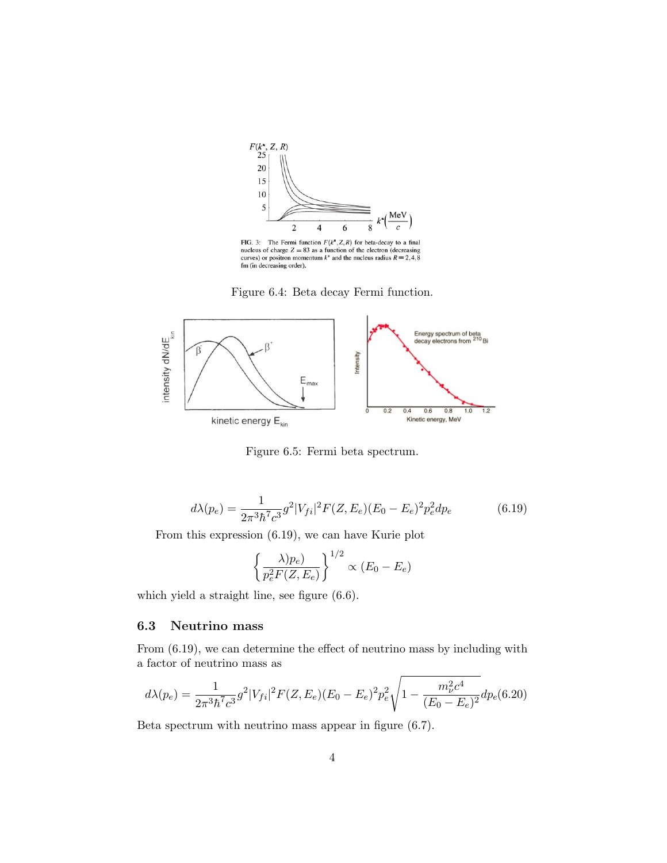

FIG. 3: The Fermi function  $F(k^*, Z, R)$  for beta-decay to a final nucleus of charge  $Z = 83$  as a function of the electron (decreasing curves) or positron momentum  $k^*$  and the nucleus radius  $R = 2, 4, 8$  fm (in decreasing

Figure 6.4: Beta decay Fermi function.



Figure 6.5: Fermi beta spectrum.

$$
d\lambda(p_e) = \frac{1}{2\pi^3 \hbar^7 c^3} g^2 |V_{fi}|^2 F(Z, E_e) (E_0 - E_e)^2 p_e^2 dp_e
$$
 (6.19)

From this expression (6.19), we can have Kurie plot

$$
\left\{\frac{\lambda)p_e}{p_e^2F(Z,E_e)}\right\}^{1/2} \propto (E_0 - E_e)
$$

which yield a straight line, see figure (6.6).

# 6.3 Neutrino mass

From (6.19), we can determine the effect of neutrino mass by including with a factor of neutrino mass as

$$
d\lambda(p_e) = \frac{1}{2\pi^3 \hbar^7 c^3} g^2 |V_{fi}|^2 F(Z, E_e) (E_0 - E_e)^2 p_e^2 \sqrt{1 - \frac{m_\nu^2 c^4}{(E_0 - E_e)^2}} dp_e (6.20)
$$

Beta spectrum with neutrino mass appear in figure (6.7).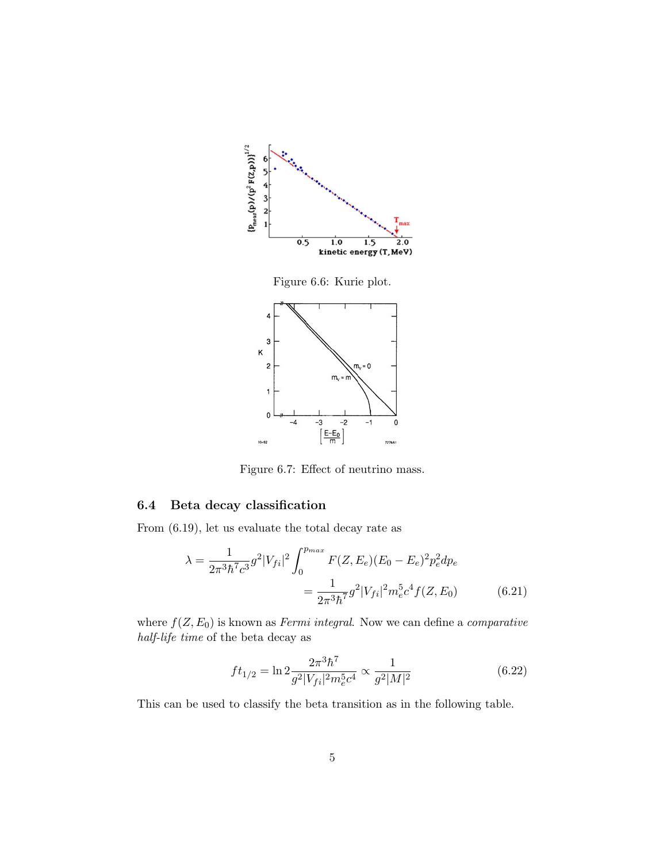



Figure 6.7: Effect of neutrino mass.

# 6.4 Beta decay classification

From (6.19), let us evaluate the total decay rate as

$$
\lambda = \frac{1}{2\pi^3 \hbar^7 c^3} g^2 |V_{fi}|^2 \int_0^{p_{max}} F(Z, E_e) (E_0 - E_e)^2 p_e^2 dp_e
$$
  
= 
$$
\frac{1}{2\pi^3 \hbar^7} g^2 |V_{fi}|^2 m_e^5 c^4 f(Z, E_0)
$$
(6.21)

where  $f(Z, E_0)$  is known as *Fermi integral*. Now we can define a *comparative* half-life time of the beta decay as

$$
ft_{1/2} = \ln 2 \frac{2\pi^3 \hbar^7}{g^2 |V_{fi}|^2 m_e^5 c^4} \propto \frac{1}{g^2 |M|^2}
$$
(6.22)

This can be used to classify the beta transition as in the following table.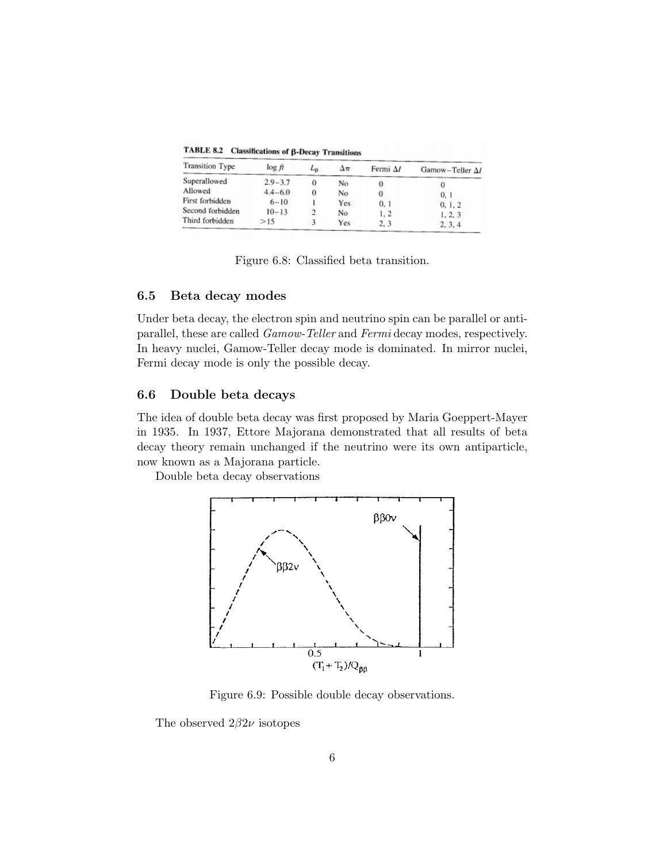TABLE 8.2 Classifications of β-Decay Transitions

| <b>Transition Type</b> | $\log ft$   | $L_{\rm B}$ | Δπ  | Fermi Al | Gamow-Teller A/ |
|------------------------|-------------|-------------|-----|----------|-----------------|
| Superallowed           | $2.9 - 3.7$ | 0           | No  |          |                 |
| Allowed                | $4.4 - 6.0$ | 0           | No  |          | 0, 1            |
| First forbidden        | $6 - 10$    |             | Yes | 0, 1     | 0, 1, 2         |
| Second forbidden       | $10 - 13$   |             | No  | 1, 2     | 1, 2, 3         |
| Third forbidden        | >15         |             | Yes | 2, 3     | 2, 3, 4         |

Figure 6.8: Classified beta transition.

#### 6.5 Beta decay modes

Under beta decay, the electron spin and neutrino spin can be parallel or antiparallel, these are called Gamow-Teller and Fermi decay modes, respectively. In heavy nuclei, Gamow-Teller decay mode is dominated. In mirror nuclei, Fermi decay mode is only the possible decay.

## 6.6 Double beta decays

The idea of double beta decay was first proposed by Maria Goeppert-Mayer in 1935. In 1937, Ettore Majorana demonstrated that all results of beta decay theory remain unchanged if the neutrino were its own antiparticle, now known as a Majorana particle.

Double beta decay observations



Figure 6.9: Possible double decay observations.

The observed  $2\beta 2\nu$  isotopes